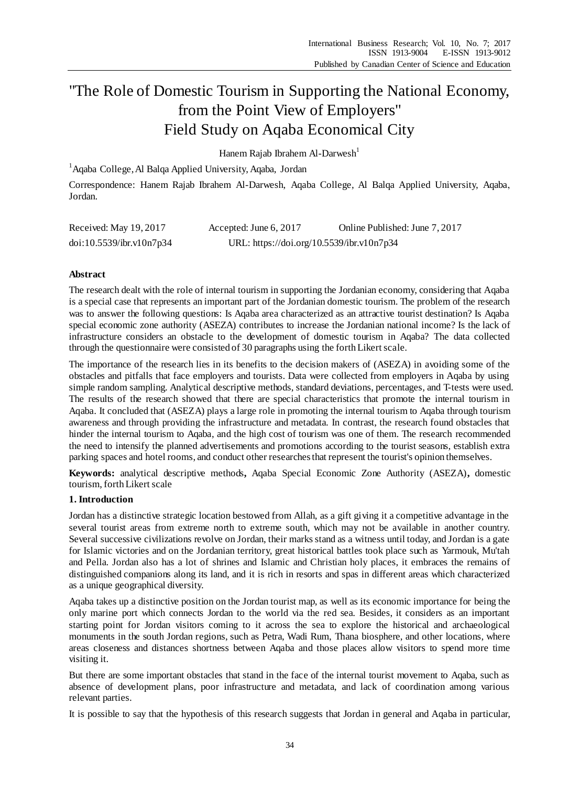# "The Role of Domestic Tourism in Supporting the National Economy, from the Point View of Employers" Field Study on Aqaba Economical City

Hanem Rajab Ibrahem Al-Darwesh<sup>1</sup>

<sup>1</sup>Aqaba College, Al Balqa Applied University, Aqaba, Jordan

Correspondence: Hanem Rajab Ibrahem Al-Darwesh, Aqaba College, Al Balqa Applied University, Aqaba, Jordan.

| Received: May 19, 2017   | Accepted: June 6, 2017                    | Online Published: June 7, 2017 |
|--------------------------|-------------------------------------------|--------------------------------|
| doi:10.5539/ibr.v10n7p34 | URL: https://doi.org/10.5539/ibr.v10n7p34 |                                |

# **Abstract**

The research dealt with the role of internal tourism in supporting the Jordanian economy, considering that Aqaba is a special case that represents an important part of the Jordanian domestic tourism. The problem of the research was to answer the following questions: Is Aqaba area characterized as an attractive tourist destination? Is Aqaba special economic zone authority (ASEZA) contributes to increase the Jordanian national income? Is the lack of infrastructure considers an obstacle to the development of domestic tourism in Aqaba? The data collected through the questionnaire were consisted of 30 paragraphs using the forth Likert scale.

The importance of the research lies in its benefits to the decision makers of (ASEZA) in avoiding some of the obstacles and pitfalls that face employers and tourists. Data were collected from employers in Aqaba by using simple random sampling. Analytical descriptive methods, standard deviations, percentages, and T-tests were used. The results of the research showed that there are special characteristics that promote the internal tourism in Aqaba. It concluded that (ASEZA) plays a large role in promoting the internal tourism to Aqaba through tourism awareness and through providing the infrastructure and metadata. In contrast, the research found obstacles that hinder the internal tourism to Aqaba, and the high cost of tourism was one of them. The research recommended the need to intensify the planned advertisements and promotions according to the tourist seasons, establish extra parking spaces and hotel rooms, and conduct other researches that represent the tourist's opinion themselves.

**Keywords:** analytical descriptive methods**,** Aqaba Special Economic Zone Authority (ASEZA)**,** domestic tourism, forth Likert scale

# **1. Introduction**

Jordan has a distinctive strategic location bestowed from Allah, as a gift giving it a competitive advantage in the several tourist areas from extreme north to extreme south, which may not be available in another country. Several successive civilizations revolve on Jordan, their marks stand as a witness until today, and Jordan is a gate for Islamic victories and on the Jordanian territory, great historical battles took place such as Yarmouk, Mu'tah and Pella. Jordan also has a lot of shrines and Islamic and Christian holy places, it embraces the remains of distinguished companions along its land, and it is rich in resorts and spas in different areas which characterized as a unique geographical diversity.

Aqaba takes up a distinctive position on the Jordan tourist map, as well as its economic importance for being the only marine port which connects Jordan to the world via the red sea. Besides, it considers as an important starting point for Jordan visitors coming to it across the sea to explore the historical and archaeological monuments in the south Jordan regions, such as Petra, Wadi Rum, Thana biosphere, and other locations, where areas closeness and distances shortness between Aqaba and those places allow visitors to spend more time visiting it.

But there are some important obstacles that stand in the face of the internal tourist movement to Aqaba, such as absence of development plans, poor infrastructure and metadata, and lack of coordination among various relevant parties.

It is possible to say that the hypothesis of this research suggests that Jordan in general and Aqaba in particular,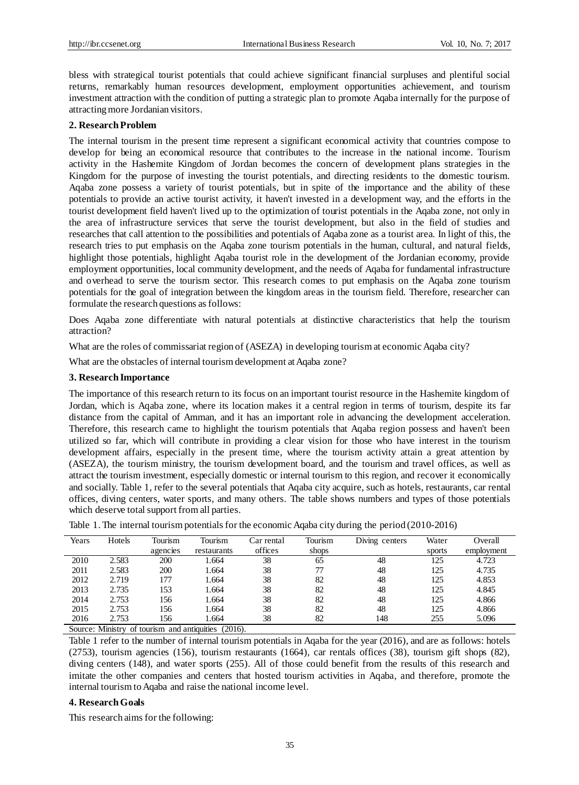bless with strategical tourist potentials that could achieve significant financial surpluses and plentiful social returns, remarkably human resources development, employment opportunities achievement, and tourism investment attraction with the condition of putting a strategic plan to promote Aqaba internally for the purpose of attracting more Jordanian visitors.

### **2. Research Problem**

The internal tourism in the present time represent a significant economical activity that countries compose to develop for being an economical resource that contributes to the increase in the national income. Tourism activity in the Hashemite Kingdom of Jordan becomes the concern of development plans strategies in the Kingdom for the purpose of investing the tourist potentials, and directing residents to the domestic tourism. Aqaba zone possess a variety of tourist potentials, but in spite of the importance and the ability of these potentials to provide an active tourist activity, it haven't invested in a development way, and the efforts in the tourist development field haven't lived up to the optimization of tourist potentials in the Aqaba zone, not only in the area of infrastructure services that serve the tourist development, but also in the field of studies and researches that call attention to the possibilities and potentials of Aqaba zone as a tourist area. In light of this, the research tries to put emphasis on the Aqaba zone tourism potentials in the human, cultural, and natural fields, highlight those potentials, highlight Aqaba tourist role in the development of the Jordanian economy, provide employment opportunities, local community development, and the needs of Aqaba for fundamental infrastructure and overhead to serve the tourism sector. This research comes to put emphasis on the Aqaba zone tourism potentials for the goal of integration between the kingdom areas in the tourism field. Therefore, researcher can formulate the research questions as follows:

Does Aqaba zone differentiate with natural potentials at distinctive characteristics that help the tourism attraction?

What are the roles of commissariat region of (ASEZA) in developing tourism at economic Aqaba city?

What are the obstacles of internal tourism development at Aqaba zone?

### **3. Research Importance**

The importance of this research return to its focus on an important tourist resource in the Hashemite kingdom of Jordan, which is Aqaba zone, where its location makes it a central region in terms of tourism, despite its far distance from the capital of Amman, and it has an important role in advancing the development acceleration. Therefore, this research came to highlight the tourism potentials that Aqaba region possess and haven't been utilized so far, which will contribute in providing a clear vision for those who have interest in the tourism development affairs, especially in the present time, where the tourism activity attain a great attention by (ASEZA), the tourism ministry, the tourism development board, and the tourism and travel offices, as well as attract the tourism investment, especially domestic or internal tourism to this region, and recover it economically and socially. Table 1, refer to the several potentials that Aqaba city acquire, such as hotels, restaurants, car rental offices, diving centers, water sports, and many others. The table shows numbers and types of those potentials which deserve total support from all parties.

| Years  | Hotels                           | Tourism  | Tourism                         | Car rental | Tourism | Diving centers | Water  | Overall    |
|--------|----------------------------------|----------|---------------------------------|------------|---------|----------------|--------|------------|
|        |                                  | agencies | restaurants                     | offices    | shops   |                | sports | employment |
| 2010   | 2.583                            | 200      | 1.664                           | 38         | 65      | 48             | 125    | 4.723      |
| 2011   | 2.583                            | 200      | 1.664                           | 38         | 77      | 48             | 125    | 4.735      |
| 2012   | 2.719                            | 177      | 1.664                           | 38         | 82      | 48             | 125    | 4.853      |
| 2013   | 2.735                            | 153      | 1.664                           | 38         | 82      | 48             | 125    | 4.845      |
| 2014   | 2.753                            | 156      | 1.664                           | 38         | 82      | 48             | 125    | 4.866      |
| 2015   | 2.753                            | 156      | 1.664                           | 38         | 82      | 48             | 125    | 4.866      |
| 2016   | 2.753                            | 156      | l.664                           | 38         | 82      | 148            | 255    | 5.096      |
| $\sim$ | $\cdots$<br>$\sim$ $\sim$ $\sim$ |          | $\bullet$ . $\bullet$<br>(0.01) |            |         |                |        |            |

|  |  |  |  | Table 1. The internal tourism potentials for the economic Aqaba city during the period (2010-2016) |  |  |  |  |  |  |  |  |  |  |  |  |
|--|--|--|--|----------------------------------------------------------------------------------------------------|--|--|--|--|--|--|--|--|--|--|--|--|
|--|--|--|--|----------------------------------------------------------------------------------------------------|--|--|--|--|--|--|--|--|--|--|--|--|

Source: Ministry of tourism and antiquities (2016).

Table 1 refer to the number of internal tourism potentials in Aqaba for the year (2016), and are as follows: hotels (2753), tourism agencies (156), tourism restaurants (1664), car rentals offices (38), tourism gift shops (82), diving centers (148), and water sports (255). All of those could benefit from the results of this research and imitate the other companies and centers that hosted tourism activities in Aqaba, and therefore, promote the internal tourism to Aqaba and raise the national income level.

#### **4. Research Goals**

This research aims for the following: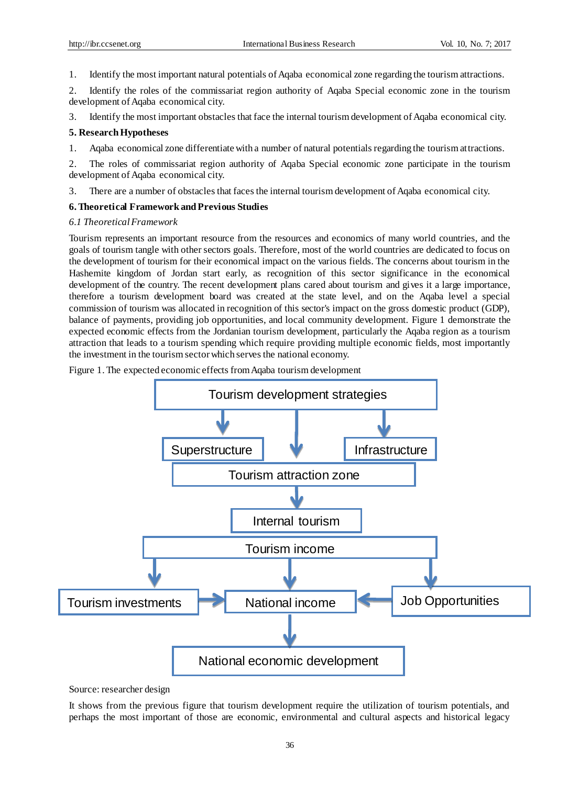1. Identify the most important natural potentials of Aqaba economical zone regarding the tourism attractions.

2. Identify the roles of the commissariat region authority of Aqaba Special economic zone in the tourism development of Aqaba economical city.

3. Identify the most important obstacles that face the internal tourism development of Aqaba economical city.

# **5. Research Hypotheses**

1. Aqaba economical zone differentiate with a number of natural potentials regarding the tourism attractions.

2. The roles of commissariat region authority of Aqaba Special economic zone participate in the tourism development of Aqaba economical city.

3. There are a number of obstacles that faces the internal tourism development of Aqaba economical city.

# **6. Theoretical Framework and Previous Studies**

# *6.1 Theoretical Framework*

Tourism represents an important resource from the resources and economics of many world countries, and the goals of tourism tangle with other sectors goals. Therefore, most of the world countries are dedicated to focus on the development of tourism for their economical impact on the various fields. The concerns about tourism in the Hashemite kingdom of Jordan start early, as recognition of this sector significance in the economical development of the country. The recent development plans cared about tourism and gives it a large importance, therefore a tourism development board was created at the state level, and on the Aqaba level a special commission of tourism was allocated in recognition of this sector's impact on the gross domestic product (GDP), balance of payments, providing job opportunities, and local community development. Figure 1 demonstrate the expected economic effects from the Jordanian tourism development, particularly the Aqaba region as a tourism attraction that leads to a tourism spending which require providing multiple economic fields, most importantly the investment in the tourism sector which serves the national economy.

Figure 1. The expected economic effects from Aqaba tourism development



Source: researcher design

It shows from the previous figure that tourism development require the utilization of tourism potentials, and perhaps the most important of those are economic, environmental and cultural aspects and historical legacy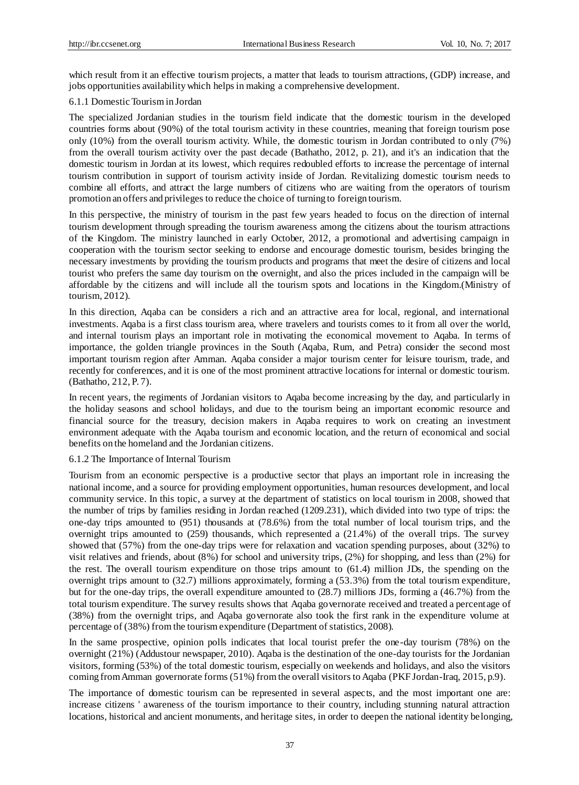which result from it an effective tourism projects, a matter that leads to tourism attractions, (GDP) increase, and jobs opportunities availability which helps in making a comprehensive development.

## 6.1.1 DomesticTourism in Jordan

The specialized Jordanian studies in the tourism field indicate that the domestic tourism in the developed countries forms about (90%) of the total tourism activity in these countries, meaning that foreign tourism pose only (10%) from the overall tourism activity. While, the domestic tourism in Jordan contributed to o nly (7%) from the overall tourism activity over the past decade (Bathatho, 2012, p. 21), and it's an indication that the domestic tourism in Jordan at its lowest, which requires redoubled efforts to increase the percentage of internal tourism contribution in support of tourism activity inside of Jordan. Revitalizing domestic tourism needs to combine all efforts, and attract the large numbers of citizens who are waiting from the operators of tourism promotion an offers and privileges to reduce the choice of turning to foreign tourism.

In this perspective, the ministry of tourism in the past few years headed to focus on the direction of internal tourism development through spreading the tourism awareness among the citizens about the tourism attractions of the Kingdom. The ministry launched in early October, 2012, a promotional and advertising campaign in cooperation with the tourism sector seeking to endorse and encourage domestic tourism, besides bringing the necessary investments by providing the tourism products and programs that meet the desire of citizens and local tourist who prefers the same day tourism on the overnight, and also the prices included in the campaign will be affordable by the citizens and will include all the tourism spots and locations in the Kingdom.(Ministry of tourism, 2012).

In this direction, Aqaba can be considers a rich and an attractive area for local, regional, and international investments. Aqaba is a first class tourism area, where travelers and tourists comes to it from all over the world, and internal tourism plays an important role in motivating the economical movement to Aqaba. In terms of importance, the golden triangle provinces in the South (Aqaba, Rum, and Petra) consider the second most important tourism region after Amman. Aqaba consider a major tourism center for leisure tourism, trade, and recently for conferences, and it is one of the most prominent attractive locations for internal or domestic tourism. (Bathatho, 212, P. 7).

In recent years, the regiments of Jordanian visitors to Aqaba become increasing by the day, and particularly in the holiday seasons and school holidays, and due to the tourism being an important economic resource and financial source for the treasury, decision makers in Aqaba requires to work on creating an investment environment adequate with the Aqaba tourism and economic location, and the return of economical and social benefits on the homeland and the Jordanian citizens.

#### 6.1.2 The Importance of Internal Tourism

Tourism from an economic perspective is a productive sector that plays an important role in increasing the national income, and a source for providing employment opportunities, human resources development, and local community service. In this topic, a survey at the department of statistics on local tourism in 2008, showed that the number of trips by families residing in Jordan reached (1209.231), which divided into two type of trips: the one-day trips amounted to (951) thousands at (78.6%) from the total number of local tourism trips, and the overnight trips amounted to (259) thousands, which represented a (21.4%) of the overall trips. The survey showed that (57%) from the one-day trips were for relaxation and vacation spending purposes, about (32%) to visit relatives and friends, about (8%) for school and university trips, (2%) for shopping, and less than (2%) for the rest. The overall tourism expenditure on those trips amount to (61.4) million JDs, the spending on the overnight trips amount to (32.7) millions approximately, forming a (53.3%) from the total tourism expenditure, but for the one-day trips, the overall expenditure amounted to (28.7) millions JDs, forming a (46.7%) from the total tourism expenditure. The survey results shows that Aqaba governorate received and treated a percentage of (38%) from the overnight trips, and Aqaba governorate also took the first rank in the expenditure volume at percentage of (38%) from the tourism expenditure (Department of statistics, 2008).

In the same prospective, opinion polls indicates that local tourist prefer the one-day tourism (78%) on the overnight (21%) (Addustour newspaper, 2010). Aqaba is the destination of the one-day tourists for the Jordanian visitors, forming (53%) of the total domestic tourism, especially on weekends and holidays, and also the visitors coming from Amman governorate forms (51%) from the overall visitors to Aqaba (PKF Jordan-Iraq, 2015, p.9).

The importance of domestic tourism can be represented in several aspects, and the most important one are: increase citizens ' awareness of the tourism importance to their country, including stunning natural attraction locations, historical and ancient monuments, and heritage sites, in order to deepen the national identity belonging,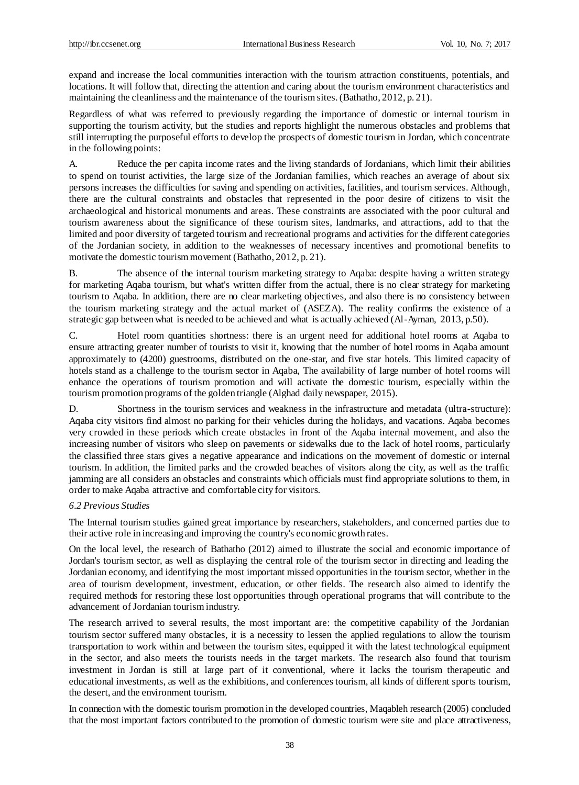expand and increase the local communities interaction with the tourism attraction constituents, potentials, and locations. It will follow that, directing the attention and caring about the tourism environment characteristics and maintaining the cleanliness and the maintenance of the tourism sites. (Bathatho, 2012, p. 21).

Regardless of what was referred to previously regarding the importance of domestic or internal tourism in supporting the tourism activity, but the studies and reports highlight the numerous obstacles and problems that still interrupting the purposeful efforts to develop the prospects of domestic tourism in Jordan, which concentrate in the following points:

A. Reduce the per capita income rates and the living standards of Jordanians, which limit their abilities to spend on tourist activities, the large size of the Jordanian families, which reaches an average of about six persons increases the difficulties for saving and spending on activities, facilities, and tourism services. Although, there are the cultural constraints and obstacles that represented in the poor desire of citizens to visit the archaeological and historical monuments and areas. These constraints are associated with the poor cultural and tourism awareness about the significance of these tourism sites, landmarks, and attractions, add to that the limited and poor diversity of targeted tourism and recreational programs and activities for the different categories of the Jordanian society, in addition to the weaknesses of necessary incentives and promotional benefits to motivate the domestic tourism movement (Bathatho, 2012, p. 21).

B. The absence of the internal tourism marketing strategy to Aqaba: despite having a written strategy for marketing Aqaba tourism, but what's written differ from the actual, there is no clear strategy for marketing tourism to Aqaba. In addition, there are no clear marketing objectives, and also there is no consistency between the tourism marketing strategy and the actual market of (ASEZA). The reality confirms the existence of a strategic gap between what is needed to be achieved and what is actually achieved (Al-Ayman, 2013, p.50).

C. Hotel room quantities shortness: there is an urgent need for additional hotel rooms at Aqaba to ensure attracting greater number of tourists to visit it, knowing that the number of hotel rooms in Aqaba amount approximately to (4200) guestrooms, distributed on the one-star, and five star hotels. This limited capacity of hotels stand as a challenge to the tourism sector in Aqaba, The availability of large number of hotel rooms will enhance the operations of tourism promotion and will activate the domestic tourism, especially within the tourism promotion programs of the golden triangle (Alghad daily newspaper, 2015).

D. Shortness in the tourism services and weakness in the infrastructure and metadata (ultra-structure): Aqaba city visitors find almost no parking for their vehicles during the holidays, and vacations. Aqaba becomes very crowded in these periods which create obstacles in front of the Aqaba internal movement, and also the increasing number of visitors who sleep on pavements or sidewalks due to the lack of hotel rooms, particularly the classified three stars gives a negative appearance and indications on the movement of domestic or internal tourism. In addition, the limited parks and the crowded beaches of visitors along the city, as well as the traffic jamming are all considers an obstacles and constraints which officials must find appropriate solutions to them, in order to make Aqaba attractive and comfortable city for visitors.

# *6.2 Previous Studies*

The Internal tourism studies gained great importance by researchers, stakeholders, and concerned parties due to their active role in increasing and improving the country's economic growth rates.

On the local level, the research of Bathatho (2012) aimed to illustrate the social and economic importance of Jordan's tourism sector, as well as displaying the central role of the tourism sector in directing and leading the Jordanian economy, and identifying the most important missed opportunities in the tourism sector, whether in the area of tourism development, investment, education, or other fields. The research also aimed to identify the required methods for restoring these lost opportunities through operational programs that will contribute to the advancement of Jordanian tourism industry.

The research arrived to several results, the most important are: the competitive capability of the Jordanian tourism sector suffered many obstacles, it is a necessity to lessen the applied regulations to allow the tourism transportation to work within and between the tourism sites, equipped it with the latest technological equipment in the sector, and also meets the tourists needs in the target markets. The research also found that tourism investment in Jordan is still at large part of it conventional, where it lacks the tourism therapeutic and educational investments, as well as the exhibitions, and conferences tourism, all kinds of different sports tourism, the desert, and the environment tourism.

In connection with the domestic tourism promotion in the developed countries, Maqableh research (2005) concluded that the most important factors contributed to the promotion of domestic tourism were site and place attractiveness,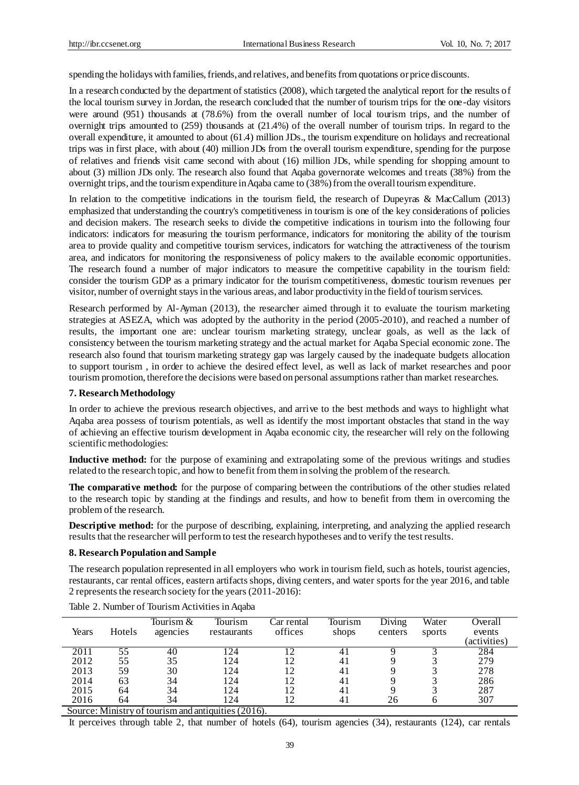spending the holidays with families, friends, and relatives, and benefits from quotations or price discounts.

In a research conducted by the department of statistics (2008), which targeted the analytical report for the results of the local tourism survey in Jordan, the research concluded that the number of tourism trips for the one-day visitors were around (951) thousands at (78.6%) from the overall number of local tourism trips, and the number of overnight trips amounted to (259) thousands at (21.4%) of the overall number of tourism trips. In regard to the overall expenditure, it amounted to about (61.4) million JDs., the tourism expenditure on holidays and recreational trips was in first place, with about (40) million JDs from the overall tourism expenditure, spending for the purpose of relatives and friends visit came second with about (16) million JDs, while spending for shopping amount to about (3) million JDs only. The research also found that Aqaba governorate welcomes and treats (38%) from the overnight trips, and the tourism expenditure in Aqaba came to (38%) from the overall tourism expenditure.

In relation to the competitive indications in the tourism field, the research of Dupeyras & MacCallum (2013) emphasized that understanding the country's competitiveness in tourism is one of the key considerations of policies and decision makers. The research seeks to divide the competitive indications in tourism into the following four indicators: indicators for measuring the tourism performance, indicators for monitoring the ability of the tourism area to provide quality and competitive tourism services, indicators for watching the attractiveness of the tourism area, and indicators for monitoring the responsiveness of policy makers to the available economic opportunities. The research found a number of major indicators to measure the competitive capability in the tourism field: consider the tourism GDP as a primary indicator for the tourism competitiveness, domestic tourism revenues per visitor, number of overnight stays in the various areas, and labor productivity in the field of tourism services.

Research performed by Al-Ayman (2013), the researcher aimed through it to evaluate the tourism marketing strategies at ASEZA, which was adopted by the authority in the period (2005-2010), and reached a number of results, the important one are: unclear tourism marketing strategy, unclear goals, as well as the lack of consistency between the tourism marketing strategy and the actual market for Aqaba Special economic zone. The research also found that tourism marketing strategy gap was largely caused by the inadequate budgets allocation to support tourism , in order to achieve the desired effect level, as well as lack of market researches and poor tourism promotion, therefore the decisions were based on personal assumptions rather than market researches.

#### **7. Research Methodology**

In order to achieve the previous research objectives, and arrive to the best methods and ways to highlight what Aqaba area possess of tourism potentials, as well as identify the most important obstacles that stand in the way of achieving an effective tourism development in Aqaba economic city, the researcher will rely on the following scientific methodologies:

**Inductive method:** for the purpose of examining and extrapolating some of the previous writings and studies related to the research topic, and how to benefit from them in solving the problem of the research.

**The comparative method:** for the purpose of comparing between the contributions of the other studies related to the research topic by standing at the findings and results, and how to benefit from them in overcoming the problem of the research.

**Descriptive method:** for the purpose of describing, explaining, interpreting, and analyzing the applied research results that the researcher will perform to test the research hypotheses and to verify the test results.

### **8. Research Population and Sample**

The research population represented in all employers who work in tourism field, such as hotels, tourist agencies, restaurants, car rental offices, eastern artifacts shops, diving centers, and water sports for the year 2016, and table 2 represents the research society for the years (2011-2016):

| Years | Hotels | Tourism $&$<br>agencies | Tourism<br>restaurants | Car rental<br>offices | Tourism<br>shops | Diving<br>centers | Water<br>sports | Overall<br>events<br>(activities) |
|-------|--------|-------------------------|------------------------|-----------------------|------------------|-------------------|-----------------|-----------------------------------|
| 2011  | 55     | 40                      | 24                     |                       | 41               |                   |                 | 284                               |
| 2012  | 55     | 35                      | 124                    | 12                    | 41               |                   |                 | 279                               |
| 2013  | 59     | 30                      | 124                    | 12                    | 41               |                   |                 | 278                               |
| 2014  | 63     | 34                      | 124                    | 12                    | 41               |                   |                 | 286                               |
| 2015  | 64     | 34                      | l 24                   | 12                    | 41               |                   |                 | 287                               |
| 2016  | 64     | 34                      | l 24                   | 12                    | 41               | 26                |                 | 307                               |

Table 2. Number of Tourism Activities in Aqaba

Source: Ministry of tourism and antiquities (2016).

It perceives through table 2, that number of hotels (64), tourism agencies (34), restaurants (124), car rentals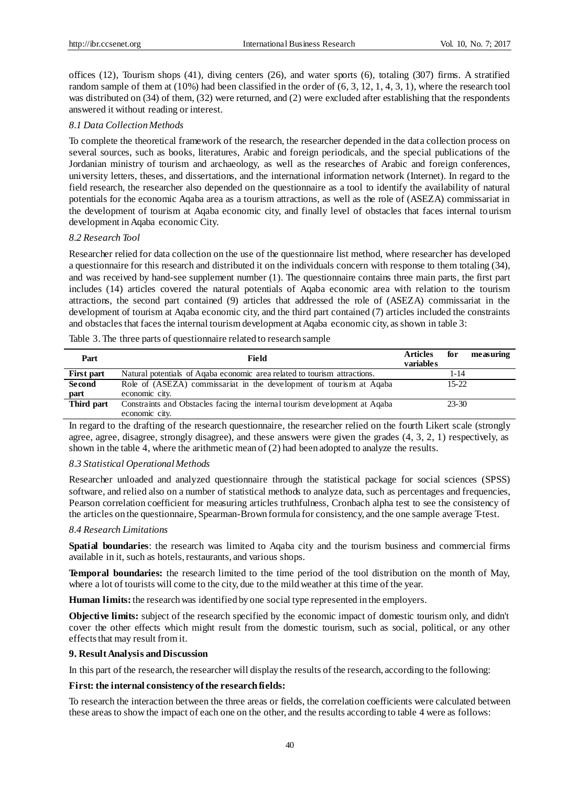offices (12), Tourism shops (41), diving centers (26), and water sports (6), totaling (307) firms. A stratified random sample of them at (10%) had been classified in the order of (6, 3, 12, 1, 4, 3, 1), where the research tool was distributed on (34) of them, (32) were returned, and (2) were excluded after establishing that the respondents answered it without reading or interest.

#### *8.1 Data Collection Methods*

To complete the theoretical framework of the research, the researcher depended in the data collection process on several sources, such as books, literatures, Arabic and foreign periodicals, and the special publications of the Jordanian ministry of tourism and archaeology, as well as the researches of Arabic and foreign conferences, university letters, theses, and dissertations, and the international information network (Internet). In regard to the field research, the researcher also depended on the questionnaire as a tool to identify the availability of natural potentials for the economic Aqaba area as a tourism attractions, as well as the role of (ASEZA) commissariat in the development of tourism at Aqaba economic city, and finally level of obstacles that faces internal tourism development in Aqaba economic City.

### *8.2 Research Tool*

Researcher relied for data collection on the use of the questionnaire list method, where researcher has developed a questionnaire for this research and distributed it on the individuals concern with response to them totaling (34), and was received by hand-see supplement number (1). The questionnaire contains three main parts, the first part includes (14) articles covered the natural potentials of Aqaba economic area with relation to the tourism attractions, the second part contained (9) articles that addressed the role of (ASEZA) commissariat in the development of tourism at Aqaba economic city, and the third part contained (7) articles included the constraints and obstacles that faces the internal tourism development at Aqaba economic city, as shown in table 3:

#### Table 3. The three parts of questionnaire related to research sample

| Part       | Field                                                                      | <b>Articles</b><br>variables | for       | measuring |
|------------|----------------------------------------------------------------------------|------------------------------|-----------|-----------|
| First part | Natural potentials of Aqaba economic area related to tourism attractions.  |                              | 1-14      |           |
| Second     | Role of (ASEZA) commissariat in the development of tourism at Aqaba        |                              | $15-22$   |           |
| part       | economic city.                                                             |                              |           |           |
| Third part | Constraints and Obstacles facing the internal tourism development at Aqaba |                              | $23 - 30$ |           |
|            | economic city.                                                             |                              |           |           |

In regard to the drafting of the research questionnaire, the researcher relied on the fourth Likert scale (strongly agree, agree, disagree, strongly disagree), and these answers were given the grades (4, 3, 2, 1) respectively, as shown in the table 4, where the arithmetic mean of (2) had been adopted to analyze the results.

# *8.3 Statistical Operational Methods*

Researcher unloaded and analyzed questionnaire through the statistical package for social sciences (SPSS) software, and relied also on a number of statistical methods to analyze data, such as percentages and frequencies, Pearson correlation coefficient for measuring articles truthfulness, Cronbach alpha test to see the consistency of the articles on the questionnaire, Spearman-Brown formula for consistency, and the one sample average T-test.

# *8.4 Research Limitations*

**Spatial boundaries**: the research was limited to Aqaba city and the tourism business and commercial firms available in it, such as hotels, restaurants, and various shops.

**Temporal boundaries:** the research limited to the time period of the tool distribution on the month of May, where a lot of tourists will come to the city, due to the mild weather at this time of the year.

**Human limits:**the research was identified by one social type represented in the employers.

**Objective limits:** subject of the research specified by the economic impact of domestic tourism only, and didn't cover the other effects which might result from the domestic tourism, such as social, political, or any other effects that may result from it.

#### **9. Result Analysis and Discussion**

In this part of the research, the researcher will display the results of the research, according to the following:

#### **First: the internal consistency of the research fields:**

To research the interaction between the three areas or fields, the correlation coefficients were calculated between these areas to show the impact of each one on the other, and the results according to table 4 were as follows: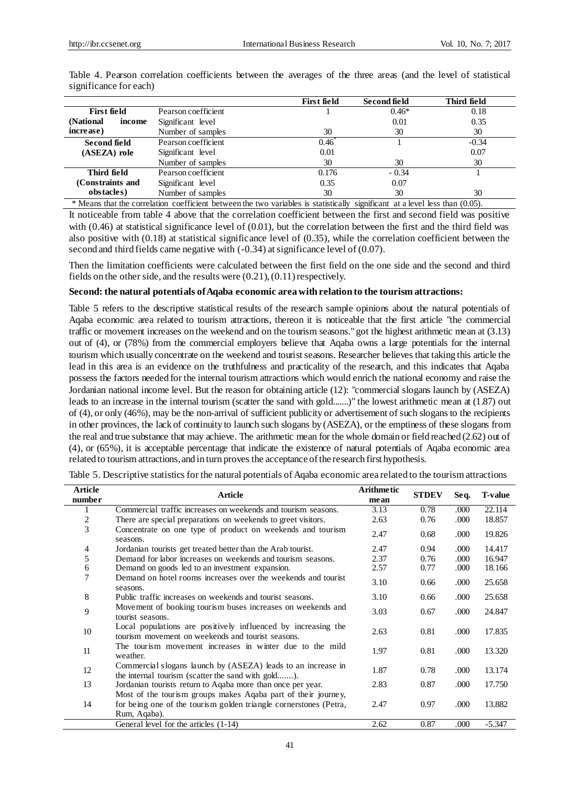|                      |                     | <b>First field</b> | Second field | Third field |
|----------------------|---------------------|--------------------|--------------|-------------|
| <b>First field</b>   | Pearson coefficient |                    | $0.46*$      | 0.18        |
| (National)<br>income | Significant level   |                    | 0.01         | 0.35        |
| increase)            | Number of samples   | 30                 | 30           | 30          |
| Second field         | Pearson coefficient | 0.46               |              | $-0.34$     |
| $(ASEZA)$ role       | Significant level   | 0.01               |              | 0.07        |
|                      | Number of samples   | 30                 | 30           | 30          |
| Third field          | Pearson coefficient | 0.176              | $-0.34$      |             |
| (Constraints and     | Significant level   | 0.35               | 0.07         |             |
| obstacles)           | Number of samples   | 30                 | 30           | 30          |

Table 4. Pearson correlation coefficients between the averages of the three areas (and the level of statistical significance for each)

\* Means that the correlation coefficient between the two variables is statistically significant at a level less than (0.05). It noticeable from table 4 above that the correlation coefficient between the first and second field was positive with  $(0.46)$  at statistical significance level of  $(0.01)$ , but the correlation between the first and the third field was also positive with (0.18) at statistical significance level of (0.35), while the correlation coefficient between the second and third fields came negative with (-0.34) at significance level of (0.07).

Then the limitation coefficients were calculated between the first field on the one side and the second and third fields on the other side, and the results were (0.21), (0.11) respectively.

# **Second: the natural potentials of Aqaba economic area with relation to the tourism attractions:**

Table 5 refers to the descriptive statistical results of the research sample opinions about the natural potentials of Aqaba economic area related to tourism attractions, thereon it is noticeable that the first article "the commercial traffic or movement increases on the weekend and on the tourism seasons." got the highest arithmetic mean at (3.13) out of (4), or (78%) from the commercial employers believe that Aqaba owns a large potentials for the internal tourism which usually concentrate on the weekend and tourist seasons. Researcher believes that taking this article the lead in this area is an evidence on the truthfulness and practicality of the research, and this indicates that Aqaba possess the factors needed for the internal tourism attractions which would enrich the national economy and raise the Jordanian national income level. But the reason for obtaining article (12): "commercial slogans launch by (ASEZA) leads to an increase in the internal tourism (scatter the sand with gold.......)" the lowest arithmetic mean at (1.87) out of (4), or only (46%), may be the non-arrival of sufficient publicity or advertisement of such slogans to the recipients in other provinces, the lack of continuity to launch such slogans by (ASEZA), or the emptiness of these slogans from the real and true substance that may achieve. The arithmetic mean for the whole domain or field reached (2.62) out of (4), or (65%), it is acceptable percentage that indicate the existence of natural potentials of Aqaba economic area related to tourism attractions, and in turn proves the acceptance of the research first hypothesis.

| <b>Article</b> |                                                                                                                    | <b>Arithmetic</b> |              |       |                |
|----------------|--------------------------------------------------------------------------------------------------------------------|-------------------|--------------|-------|----------------|
| number         | Article                                                                                                            | mean              | <b>STDEV</b> | Seq.  | <b>T-value</b> |
|                | Commercial traffic increases on weekends and tourism seasons.                                                      | 3.13              | 0.78         | .000  | 22.114         |
| 2              | There are special preparations on weekends to greet visitors.                                                      | 2.63              | 0.76         | .000  | 18.857         |
| 3              | Concentrate on one type of product on weekends and tourism<br>seasons.                                             | 2.47              | 0.68         | .000  | 19.826         |
| $\overline{4}$ | Jordanian tourists get treated better than the Arab tourist.                                                       | 2.47              | 0.94         | .000  | 14.417         |
| 5              | Demand for labor increases on weekends and tourism seasons.                                                        | 2.37              | 0.76         | .000. | 16.947         |
| 6              | Demand on goods led to an investment expansion.                                                                    | 2.57              | 0.77         | .000  | 18.166         |
| 7              | Demand on hotel rooms increases over the weekends and tourist<br>seasons.                                          | 3.10              | 0.66         | .000  | 25.658         |
| 8              | Public traffic increases on weekends and tourist seasons.                                                          | 3.10              | 0.66         | .000. | 25.658         |
| 9              | Movement of booking tourism buses increases on weekends and<br>tourist seasons.                                    | 3.03              | 0.67         | .000  | 24.847         |
| 10             | Local populations are positively influenced by increasing the<br>tourism movement on weekends and tourist seasons. | 2.63              | 0.81         | .000  | 17.835         |
| 11             | The tourism movement increases in winter due to the mild<br>weather.                                               | 1.97              | 0.81         | .000. | 13.320         |
| 12             | Commercial slogans launch by (ASEZA) leads to an increase in<br>the internal tourism (scatter the sand with gold). | 1.87              | 0.78         | .000  | 13.174         |
| 13             | Jordanian tourists return to Aqaba more than once per year.                                                        | 2.83              | 0.87         | .000  | 17.750         |
|                | Most of the tourism groups makes Aqaba part of their journey,                                                      |                   |              |       |                |
| 14             | for being one of the tourism golden triangle cornerstones (Petra,<br>Rum, Aqaba).                                  | 2.47              | 0.97         | .000  | 13.882         |
|                | General level for the articles (1-14)                                                                              | 2.62              | 0.87         | .000  | $-5.347$       |

Table 5. Descriptive statistics for the natural potentials of Aqaba economic area related to the tourism attractions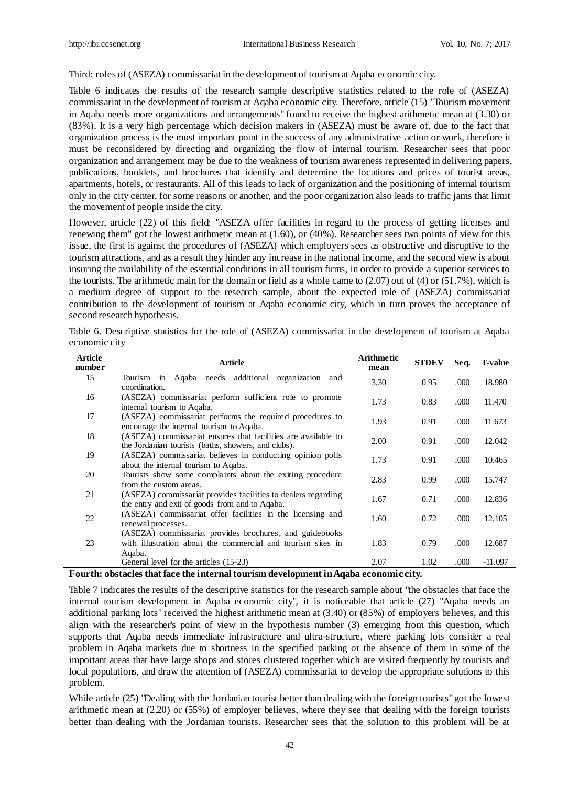Third: roles of (ASEZA) commissariat in the development of tourism at Aqaba economic city.

Table 6 indicates the results of the research sample descriptive statistics related to the role of (ASEZA) commissariat in the development of tourism at Aqaba economic city. Therefore, article (15) "Tourism movement in Aqaba needs more organizations and arrangements" found to receive the highest arithmetic mean at (3.30) or (83%). It is a very high percentage which decision makers in (ASEZA) must be aware of, due to the fact that organization process is the most important point in the success of any administrative action or work, therefore it must be reconsidered by directing and organizing the flow of internal tourism. Researcher sees that poor organization and arrangement may be due to the weakness of tourism awareness represented in delivering papers, publications, booklets, and brochures that identify and determine the locations and prices of tourist areas, apartments, hotels, or restaurants. All of this leads to lack of organization and the positioning of internal tourism only in the city center, for some reasons or another, and the poor organization also leads to traffic jams that limit the movement of people inside the city.

However, article (22) of this field: "ASEZA offer facilities in regard to the process of getting licenses and renewing them" got the lowest arithmetic mean at (1.60), or (40%). Researcher sees two points of view for this issue, the first is against the procedures of (ASEZA) which employers sees as obstructive and disruptive to the tourism attractions, and as a result they hinder any increase in the national income, and the second view is about insuring the availability of the essential conditions in all tourism firms, in order to provide a superior services to the tourists. The arithmetic main for the domain or field as a whole came to (2.07) out of (4) or (51.7%), which is a medium degree of support to the research sample, about the expected role of (ASEZA) commissariat contribution to the development of tourism at Aqaba economic city, which in turn proves the acceptance of second research hypothesis.

| <b>Article</b><br>number | <b>Article</b>                                                                                                                   | <b>Arithmetic</b><br>mean | <b>STDEV</b> | Seq.  | <b>T-value</b> |
|--------------------------|----------------------------------------------------------------------------------------------------------------------------------|---------------------------|--------------|-------|----------------|
| 15                       | Agaba needs additional organization<br>Tourism in<br>and<br>coordination.                                                        | 3.30                      | 0.95         | .000  | 18.980         |
| 16                       | (ASEZA) commissariat perform sufficient role to promote<br>internal tourism to Agaba.                                            | 1.73                      | 0.83         | .000  | 11.470         |
| 17                       | (ASEZA) commissariat performs the required procedures to<br>encourage the internal tourism to Aqaba.                             | 1.93                      | 0.91         | .000  | 11.673         |
| 18                       | (ASEZA) commissariat ensures that facilities are available to<br>the Jordanian tourists (baths, showers, and clubs).             | 2.00                      | 0.91         | .000  | 12.042         |
| 19                       | (ASEZA) commissariat believes in conducting opinion polls<br>about the internal tourism to Aqaba.                                | 1.73                      | 0.91         | .000  | 10.465         |
| 20                       | Tourists show some complaints about the exiting procedure<br>from the custom areas.                                              | 2.83                      | 0.99         | .000  | 15.747         |
| 21                       | (ASEZA) commissariat provides facilities to dealers regarding<br>the entry and exit of goods from and to Aqaba.                  | 1.67                      | 0.71         | .000. | 12.836         |
| 22                       | (ASEZA) commissariat offer facilities in the licensing and<br>renewal processes.                                                 | 1.60                      | 0.72         | .000  | 12.105         |
| 23                       | (ASEZA) commissariat provides brochures, and guidebooks<br>with illustration about the commercial and tourism sites in<br>Aqaba. | 1.83                      | 0.79         | .000  | 12.687         |
|                          | General level for the articles (15-23)                                                                                           | 2.07                      | 1.02         | .000  | $-11.097$      |

Table 6. Descriptive statistics for the role of (ASEZA) commissariat in the development of tourism at Aqaba economic city

**Fourth: obstacles that face the internal tourism development in Aqaba economic city.**

Table 7 indicates the results of the descriptive statistics for the research sample about "the obstacles that face the internal tourism development in Aqaba economic city", it is noticeable that article (27) "Aqaba needs an additional parking lots" received the highest arithmetic mean at (3.40) or (85%) of employers believes, and this align with the researcher's point of view in the hypothesis number (3) emerging from this question, which supports that Aqaba needs immediate infrastructure and ultra-structure, where parking lots consider a real problem in Aqaba markets due to shortness in the specified parking or the absence of them in some of the important areas that have large shops and stores clustered together which are visited frequently by tourists and local populations, and draw the attention of (ASEZA) commissariat to develop the appropriate solutions to this problem.

While article (25) "Dealing with the Jordanian tourist better than dealing with the foreign tourists" got the lowest arithmetic mean at (2.20) or (55%) of employer believes, where they see that dealing with the foreign tourists better than dealing with the Jordanian tourists. Researcher sees that the solution to this problem will be at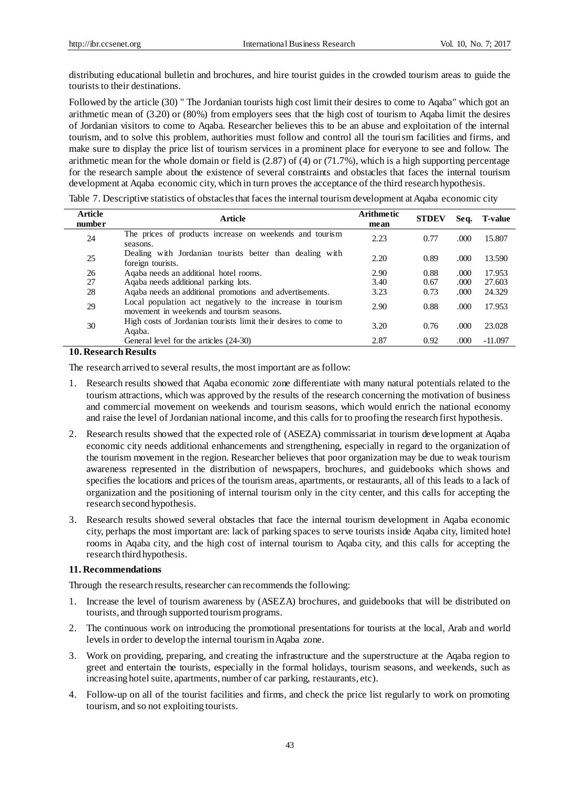distributing educational bulletin and brochures, and hire tourist guides in the crowded tourism areas to guide the tourists to their destinations.

Followed by the article (30) " The Jordanian tourists high cost limit their desires to come to Aqaba" which got an arithmetic mean of (3.20) or (80%) from employers sees that the high cost of tourism to Aqaba limit the desires of Jordanian visitors to come to Aqaba. Researcher believes this to be an abuse and exploitation of the internal tourism, and to solve this problem, authorities must follow and control all the tourism facilities and firms, and make sure to display the price list of tourism services in a prominent place for everyone to see and follow. The arithmetic mean for the whole domain or field is  $(2.87)$  of  $(4)$  or  $(71.7%)$ , which is a high supporting percentage for the research sample about the existence of several constraints and obstacles that faces the internal tourism development at Aqaba economic city, which in turn proves the acceptance of the third research hypothesis.

| <b>Article</b><br>number | <b>Article</b>                                                                                          | <b>Arithmetic</b><br>mean | <b>STDEV</b> | Seq.  | <b>T-value</b> |
|--------------------------|---------------------------------------------------------------------------------------------------------|---------------------------|--------------|-------|----------------|
| 24                       | The prices of products increase on weekends and tourism<br>seasons.                                     | 2.23                      | 0.77         | .000. | 15.807         |
| 25                       | Dealing with Jordanian tourists better than dealing with<br>foreign tourists.                           | 2.20                      | 0.89         | .000. | 13.590         |
| 26                       | Agaba needs an additional hotel rooms.                                                                  | 2.90                      | 0.88         | .000. | 17.953         |
| 27                       | Aqaba needs additional parking lots.                                                                    | 3.40                      | 0.67         | .000. | 27.603         |
| 28                       | Aqaba needs an additional promotions and advertisements.                                                | 3.23                      | 0.73         | .000. | 24.329         |
| 29                       | Local population act negatively to the increase in tourism<br>movement in weekends and tourism seasons. | 2.90                      | 0.88         | .000. | 17.953         |
| 30                       | High costs of Jordanian tourists limit their desires to come to<br>Aqaba.                               | 3.20                      | 0.76         | .000. | 23.028         |
|                          | General level for the articles (24-30)                                                                  | 2.87                      | 0.92         | .000. | $-11.097$      |

Table 7. Descriptive statistics of obstacles that faces the internal tourism development at Aqaba economic city

# **10. Research Results**

The research arrived to several results, the most important are as follow:

- 1. Research results showed that Aqaba economic zone differentiate with many natural potentials related to the tourism attractions, which was approved by the results of the research concerning the motivation of business and commercial movement on weekends and tourism seasons, which would enrich the national economy and raise the level of Jordanian national income, and this calls for to proofing the research first hypothesis.
- 2. Research results showed that the expected role of (ASEZA) commissariat in tourism development at Aqaba economic city needs additional enhancements and strengthening, especially in regard to the organization of the tourism movement in the region. Researcher believes that poor organization may be due to weak tourism awareness represented in the distribution of newspapers, brochures, and guidebooks which shows and specifies the locations and prices of the tourism areas, apartments, or restaurants, all of this leads to a lack of organization and the positioning of internal tourism only in the city center, and this calls for accepting the research second hypothesis.
- 3. Research results showed several obstacles that face the internal tourism development in Aqaba economic city, perhaps the most important are: lack of parking spaces to serve tourists inside Aqaba city, limited hotel rooms in Aqaba city, and the high cost of internal tourism to Aqaba city, and this calls for accepting the research third hypothesis.

# **11. Recommendations**

Through the research results, researcher can recommends the following:

- 1. Increase the level of tourism awareness by (ASEZA) brochures, and guidebooks that will be distributed on tourists, and through supported tourism programs.
- 2. The continuous work on introducing the promotional presentations for tourists at the local, Arab and world levels in order to develop the internal tourism in Aqaba zone.
- 3. Work on providing, preparing, and creating the infrastructure and the superstructure at the Aqaba region to greet and entertain the tourists, especially in the formal holidays, tourism seasons, and weekends, such as increasing hotel suite, apartments, number of car parking, restaurants, etc).
- 4. Follow-up on all of the tourist facilities and firms, and check the price list regularly to work on promoting tourism, and so not exploiting tourists.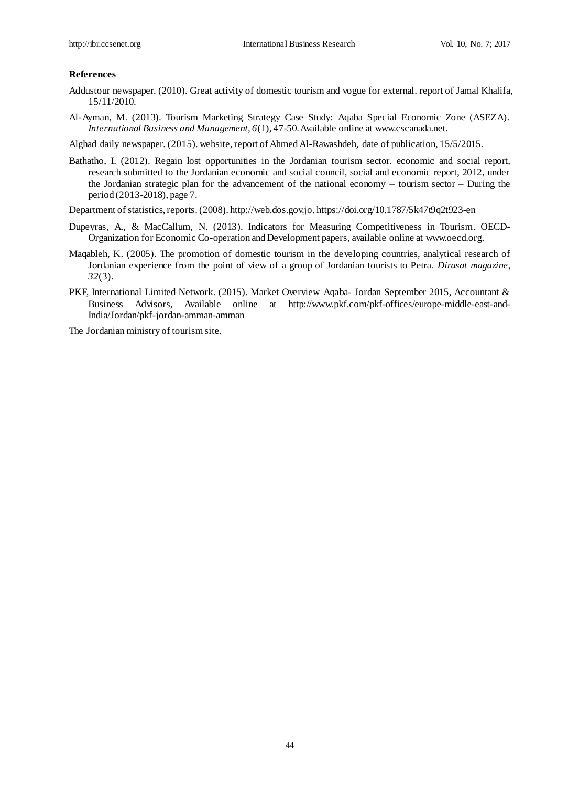#### **References**

- Addustour newspaper. (2010). Great activity of domestic tourism and vogue for external. report of Jamal Khalifa, 15/11/2010.
- Al-Ayman, M. (2013). Tourism Marketing Strategy Case Study: Aqaba Special Economic Zone (ASEZA). *International Business and Management, 6*(1), 47-50. Available online at [www.cscanada.net.](http://www.cscanada.net/)

Alghad daily newspaper. (2015). website, report of Ahmed Al-Rawashdeh, date of publication, 15/5/2015.

Bathatho, I. (2012). Regain lost opportunities in the Jordanian tourism sector. economic and social report, research submitted to the Jordanian economic and social council, social and economic report, 2012, under the Jordanian strategic plan for the advancement of the national economy – tourism sector – During the period (2013-2018), page 7.

Department of statistics, reports.(2008). [http://web.dos.gov.jo.](http://web.dos.gov.jo/) https://doi.org/10.1787/5k47t9q2t923-en

- Dupeyras, A., & MacCallum, N. (2013). Indicators for Measuring Competitiveness in Tourism. OECD-Organization for Economic Co-operation and Development papers, available online at [www.oecd.org.](http://www.oecd.org/)
- Maqableh, K. (2005). The promotion of domestic tourism in the developing countries, analytical research of Jordanian experience from the point of view of a group of Jordanian tourists to Petra. *Dirasat magazine, 32*(3).
- PKF, International Limited Network. (2015). Market Overview Aqaba- Jordan September 2015, Accountant & Business Advisors, Available online at <http://www.pkf.com/pkf-offices/europe-middle-east-and->India/Jordan/pkf-jordan-amman-amman

The Jordanian ministry of tourism site.